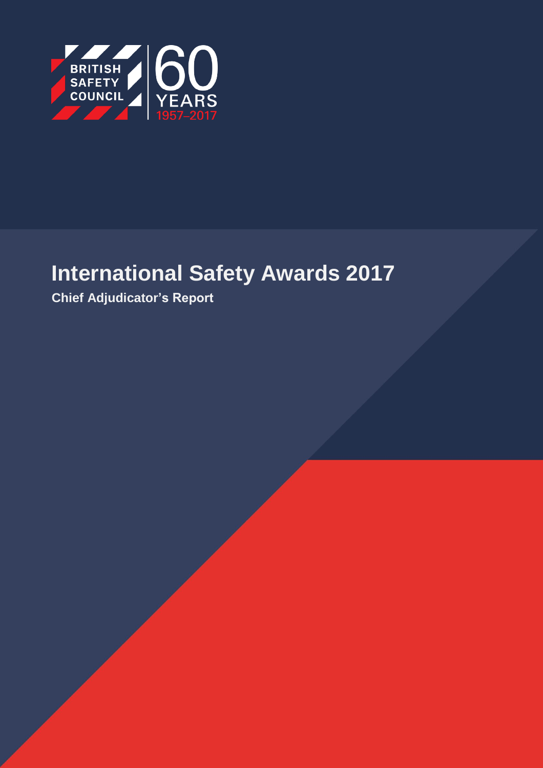

# **International Safety Awards 2017**

**Chief Adjudicator's Report**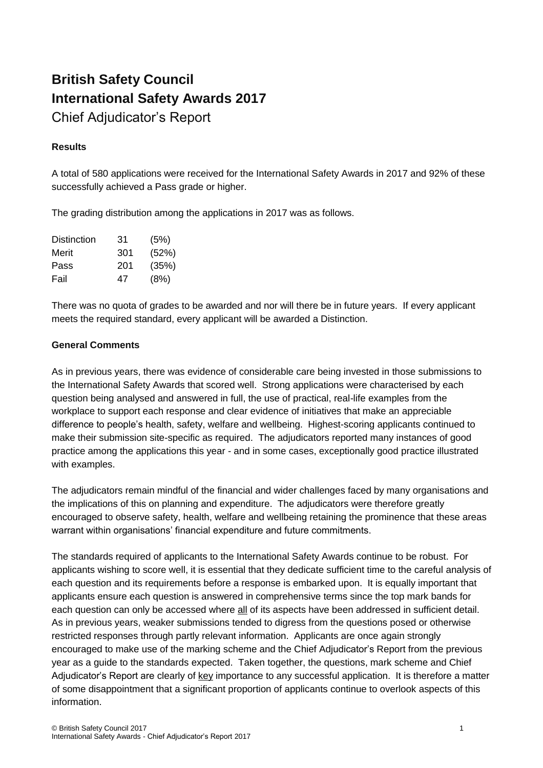# **British Safety Council International Safety Awards 2017**

Chief Adjudicator's Report

# **Results**

A total of 580 applications were received for the International Safety Awards in 2017 and 92% of these successfully achieved a Pass grade or higher.

The grading distribution among the applications in 2017 was as follows.

| Distinction | 31  | (5%)  |
|-------------|-----|-------|
| Merit       | 301 | (52%) |
| Pass        | 201 | (35%) |
| Fail        | 47  | (8%)  |

There was no quota of grades to be awarded and nor will there be in future years. If every applicant meets the required standard, every applicant will be awarded a Distinction.

### **General Comments**

As in previous years, there was evidence of considerable care being invested in those submissions to the International Safety Awards that scored well. Strong applications were characterised by each question being analysed and answered in full, the use of practical, real-life examples from the workplace to support each response and clear evidence of initiatives that make an appreciable difference to people's health, safety, welfare and wellbeing. Highest-scoring applicants continued to make their submission site-specific as required. The adjudicators reported many instances of good practice among the applications this year - and in some cases, exceptionally good practice illustrated with examples.

The adjudicators remain mindful of the financial and wider challenges faced by many organisations and the implications of this on planning and expenditure. The adjudicators were therefore greatly encouraged to observe safety, health, welfare and wellbeing retaining the prominence that these areas warrant within organisations' financial expenditure and future commitments.

The standards required of applicants to the International Safety Awards continue to be robust. For applicants wishing to score well, it is essential that they dedicate sufficient time to the careful analysis of each question and its requirements before a response is embarked upon. It is equally important that applicants ensure each question is answered in comprehensive terms since the top mark bands for each question can only be accessed where all of its aspects have been addressed in sufficient detail. As in previous years, weaker submissions tended to digress from the questions posed or otherwise restricted responses through partly relevant information. Applicants are once again strongly encouraged to make use of the marking scheme and the Chief Adjudicator's Report from the previous year as a guide to the standards expected. Taken together, the questions, mark scheme and Chief Adjudicator's Report are clearly of key importance to any successful application. It is therefore a matter of some disappointment that a significant proportion of applicants continue to overlook aspects of this information.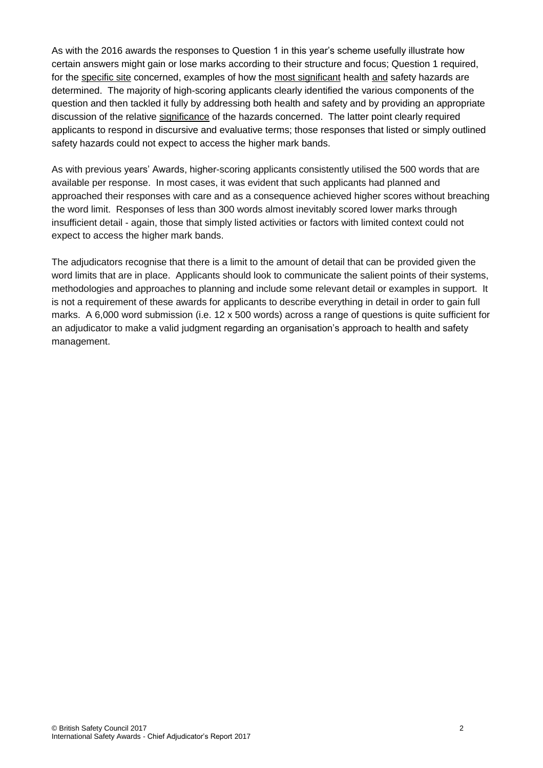As with the 2016 awards the responses to Question 1 in this year's scheme usefully illustrate how certain answers might gain or lose marks according to their structure and focus; Question 1 required, for the specific site concerned, examples of how the most significant health and safety hazards are determined. The majority of high-scoring applicants clearly identified the various components of the question and then tackled it fully by addressing both health and safety and by providing an appropriate discussion of the relative significance of the hazards concerned. The latter point clearly required applicants to respond in discursive and evaluative terms; those responses that listed or simply outlined safety hazards could not expect to access the higher mark bands.

As with previous years' Awards, higher-scoring applicants consistently utilised the 500 words that are available per response. In most cases, it was evident that such applicants had planned and approached their responses with care and as a consequence achieved higher scores without breaching the word limit. Responses of less than 300 words almost inevitably scored lower marks through insufficient detail - again, those that simply listed activities or factors with limited context could not expect to access the higher mark bands.

The adjudicators recognise that there is a limit to the amount of detail that can be provided given the word limits that are in place. Applicants should look to communicate the salient points of their systems, methodologies and approaches to planning and include some relevant detail or examples in support. It is not a requirement of these awards for applicants to describe everything in detail in order to gain full marks. A 6,000 word submission (i.e. 12 x 500 words) across a range of questions is quite sufficient for an adjudicator to make a valid judgment regarding an organisation's approach to health and safety management.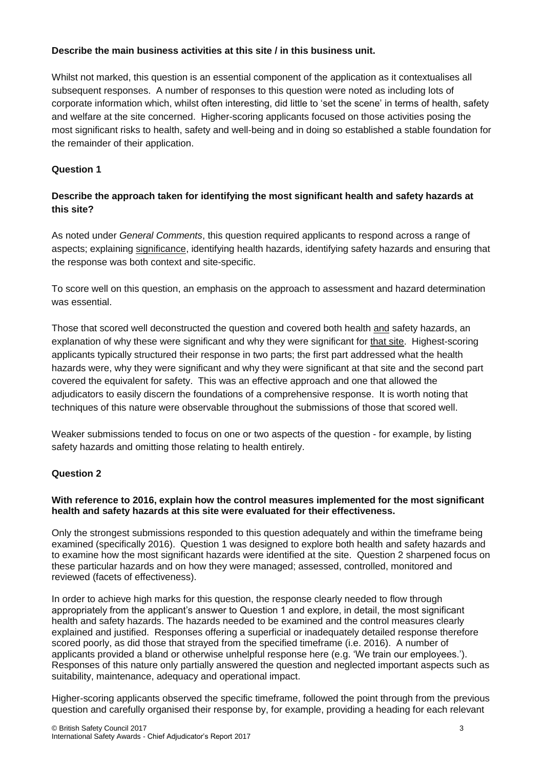#### **Describe the main business activities at this site / in this business unit.**

Whilst not marked, this question is an essential component of the application as it contextualises all subsequent responses. A number of responses to this question were noted as including lots of corporate information which, whilst often interesting, did little to 'set the scene' in terms of health, safety and welfare at the site concerned. Higher-scoring applicants focused on those activities posing the most significant risks to health, safety and well-being and in doing so established a stable foundation for the remainder of their application.

# **Question 1**

### **Describe the approach taken for identifying the most significant health and safety hazards at this site?**

As noted under *General Comments*, this question required applicants to respond across a range of aspects; explaining significance, identifying health hazards, identifying safety hazards and ensuring that the response was both context and site-specific.

To score well on this question, an emphasis on the approach to assessment and hazard determination was essential.

Those that scored well deconstructed the question and covered both health and safety hazards, an explanation of why these were significant and why they were significant for that site. Highest-scoring applicants typically structured their response in two parts; the first part addressed what the health hazards were, why they were significant and why they were significant at that site and the second part covered the equivalent for safety. This was an effective approach and one that allowed the adjudicators to easily discern the foundations of a comprehensive response. It is worth noting that techniques of this nature were observable throughout the submissions of those that scored well.

Weaker submissions tended to focus on one or two aspects of the question - for example, by listing safety hazards and omitting those relating to health entirely.

#### **Question 2**

#### **With reference to 2016, explain how the control measures implemented for the most significant health and safety hazards at this site were evaluated for their effectiveness.**

Only the strongest submissions responded to this question adequately and within the timeframe being examined (specifically 2016). Question 1 was designed to explore both health and safety hazards and to examine how the most significant hazards were identified at the site. Question 2 sharpened focus on these particular hazards and on how they were managed; assessed, controlled, monitored and reviewed (facets of effectiveness).

In order to achieve high marks for this question, the response clearly needed to flow through appropriately from the applicant's answer to Question 1 and explore, in detail, the most significant health and safety hazards. The hazards needed to be examined and the control measures clearly explained and justified. Responses offering a superficial or inadequately detailed response therefore scored poorly, as did those that strayed from the specified timeframe (i.e. 2016). A number of applicants provided a bland or otherwise unhelpful response here (e.g. 'We train our employees.'). Responses of this nature only partially answered the question and neglected important aspects such as suitability, maintenance, adequacy and operational impact.

Higher-scoring applicants observed the specific timeframe, followed the point through from the previous question and carefully organised their response by, for example, providing a heading for each relevant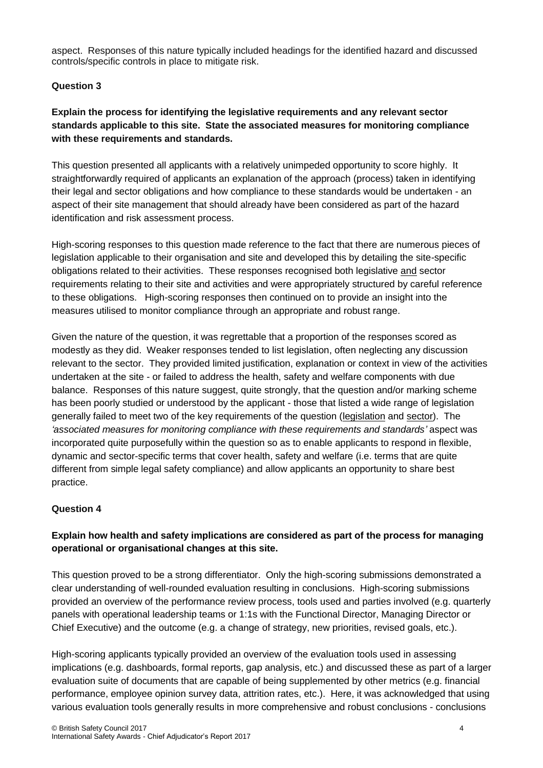aspect. Responses of this nature typically included headings for the identified hazard and discussed controls/specific controls in place to mitigate risk.

#### **Question 3**

# **Explain the process for identifying the legislative requirements and any relevant sector standards applicable to this site. State the associated measures for monitoring compliance with these requirements and standards.**

This question presented all applicants with a relatively unimpeded opportunity to score highly. It straightforwardly required of applicants an explanation of the approach (process) taken in identifying their legal and sector obligations and how compliance to these standards would be undertaken - an aspect of their site management that should already have been considered as part of the hazard identification and risk assessment process.

High-scoring responses to this question made reference to the fact that there are numerous pieces of legislation applicable to their organisation and site and developed this by detailing the site-specific obligations related to their activities. These responses recognised both legislative and sector requirements relating to their site and activities and were appropriately structured by careful reference to these obligations. High-scoring responses then continued on to provide an insight into the measures utilised to monitor compliance through an appropriate and robust range.

Given the nature of the question, it was regrettable that a proportion of the responses scored as modestly as they did. Weaker responses tended to list legislation, often neglecting any discussion relevant to the sector. They provided limited justification, explanation or context in view of the activities undertaken at the site - or failed to address the health, safety and welfare components with due balance. Responses of this nature suggest, quite strongly, that the question and/or marking scheme has been poorly studied or understood by the applicant - those that listed a wide range of legislation generally failed to meet two of the key requirements of the question (legislation and sector). The *'associated measures for monitoring compliance with these requirements and standards'* aspect was incorporated quite purposefully within the question so as to enable applicants to respond in flexible, dynamic and sector-specific terms that cover health, safety and welfare (i.e. terms that are quite different from simple legal safety compliance) and allow applicants an opportunity to share best practice.

#### **Question 4**

# **Explain how health and safety implications are considered as part of the process for managing operational or organisational changes at this site.**

This question proved to be a strong differentiator. Only the high-scoring submissions demonstrated a clear understanding of well-rounded evaluation resulting in conclusions. High-scoring submissions provided an overview of the performance review process, tools used and parties involved (e.g. quarterly panels with operational leadership teams or 1:1s with the Functional Director, Managing Director or Chief Executive) and the outcome (e.g. a change of strategy, new priorities, revised goals, etc.).

High-scoring applicants typically provided an overview of the evaluation tools used in assessing implications (e.g. dashboards, formal reports, gap analysis, etc.) and discussed these as part of a larger evaluation suite of documents that are capable of being supplemented by other metrics (e.g. financial performance, employee opinion survey data, attrition rates, etc.). Here, it was acknowledged that using various evaluation tools generally results in more comprehensive and robust conclusions - conclusions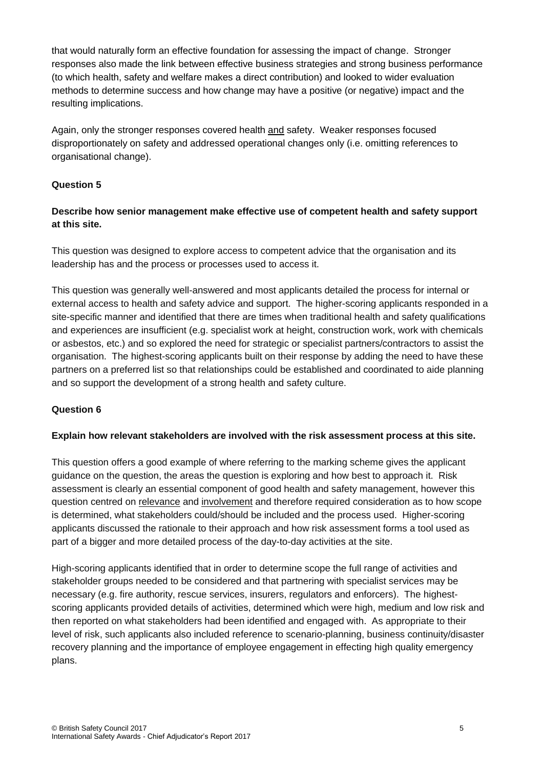that would naturally form an effective foundation for assessing the impact of change. Stronger responses also made the link between effective business strategies and strong business performance (to which health, safety and welfare makes a direct contribution) and looked to wider evaluation methods to determine success and how change may have a positive (or negative) impact and the resulting implications.

Again, only the stronger responses covered health and safety. Weaker responses focused disproportionately on safety and addressed operational changes only (i.e. omitting references to organisational change).

#### **Question 5**

### **Describe how senior management make effective use of competent health and safety support at this site.**

This question was designed to explore access to competent advice that the organisation and its leadership has and the process or processes used to access it.

This question was generally well-answered and most applicants detailed the process for internal or external access to health and safety advice and support. The higher-scoring applicants responded in a site-specific manner and identified that there are times when traditional health and safety qualifications and experiences are insufficient (e.g. specialist work at height, construction work, work with chemicals or asbestos, etc.) and so explored the need for strategic or specialist partners/contractors to assist the organisation. The highest-scoring applicants built on their response by adding the need to have these partners on a preferred list so that relationships could be established and coordinated to aide planning and so support the development of a strong health and safety culture.

#### **Question 6**

#### **Explain how relevant stakeholders are involved with the risk assessment process at this site.**

This question offers a good example of where referring to the marking scheme gives the applicant guidance on the question, the areas the question is exploring and how best to approach it. Risk assessment is clearly an essential component of good health and safety management, however this question centred on relevance and involvement and therefore required consideration as to how scope is determined, what stakeholders could/should be included and the process used. Higher-scoring applicants discussed the rationale to their approach and how risk assessment forms a tool used as part of a bigger and more detailed process of the day-to-day activities at the site.

High-scoring applicants identified that in order to determine scope the full range of activities and stakeholder groups needed to be considered and that partnering with specialist services may be necessary (e.g. fire authority, rescue services, insurers, regulators and enforcers). The highestscoring applicants provided details of activities, determined which were high, medium and low risk and then reported on what stakeholders had been identified and engaged with. As appropriate to their level of risk, such applicants also included reference to scenario-planning, business continuity/disaster recovery planning and the importance of employee engagement in effecting high quality emergency plans.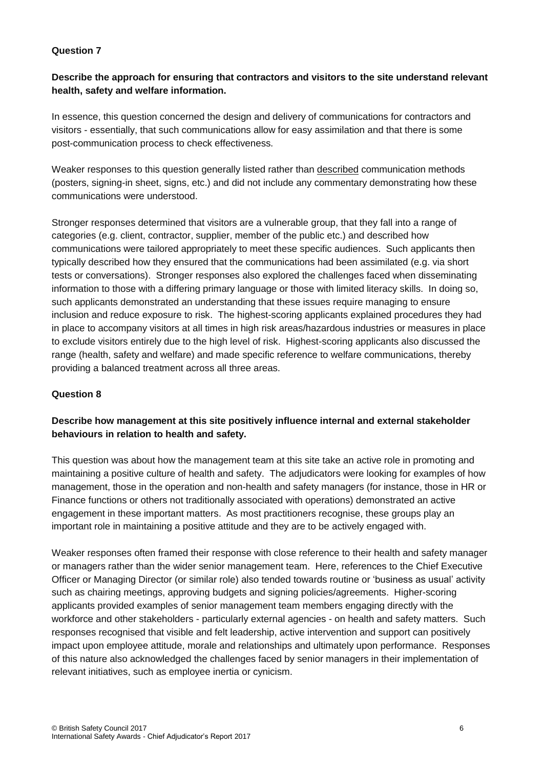#### **Question 7**

#### **Describe the approach for ensuring that contractors and visitors to the site understand relevant health, safety and welfare information.**

In essence, this question concerned the design and delivery of communications for contractors and visitors - essentially, that such communications allow for easy assimilation and that there is some post-communication process to check effectiveness.

Weaker responses to this question generally listed rather than described communication methods (posters, signing-in sheet, signs, etc.) and did not include any commentary demonstrating how these communications were understood.

Stronger responses determined that visitors are a vulnerable group, that they fall into a range of categories (e.g. client, contractor, supplier, member of the public etc.) and described how communications were tailored appropriately to meet these specific audiences. Such applicants then typically described how they ensured that the communications had been assimilated (e.g. via short tests or conversations). Stronger responses also explored the challenges faced when disseminating information to those with a differing primary language or those with limited literacy skills. In doing so, such applicants demonstrated an understanding that these issues require managing to ensure inclusion and reduce exposure to risk. The highest-scoring applicants explained procedures they had in place to accompany visitors at all times in high risk areas/hazardous industries or measures in place to exclude visitors entirely due to the high level of risk. Highest-scoring applicants also discussed the range (health, safety and welfare) and made specific reference to welfare communications, thereby providing a balanced treatment across all three areas.

#### **Question 8**

### **Describe how management at this site positively influence internal and external stakeholder behaviours in relation to health and safety.**

This question was about how the management team at this site take an active role in promoting and maintaining a positive culture of health and safety. The adjudicators were looking for examples of how management, those in the operation and non-health and safety managers (for instance, those in HR or Finance functions or others not traditionally associated with operations) demonstrated an active engagement in these important matters. As most practitioners recognise, these groups play an important role in maintaining a positive attitude and they are to be actively engaged with.

Weaker responses often framed their response with close reference to their health and safety manager or managers rather than the wider senior management team. Here, references to the Chief Executive Officer or Managing Director (or similar role) also tended towards routine or 'business as usual' activity such as chairing meetings, approving budgets and signing policies/agreements. Higher-scoring applicants provided examples of senior management team members engaging directly with the workforce and other stakeholders - particularly external agencies - on health and safety matters. Such responses recognised that visible and felt leadership, active intervention and support can positively impact upon employee attitude, morale and relationships and ultimately upon performance. Responses of this nature also acknowledged the challenges faced by senior managers in their implementation of relevant initiatives, such as employee inertia or cynicism.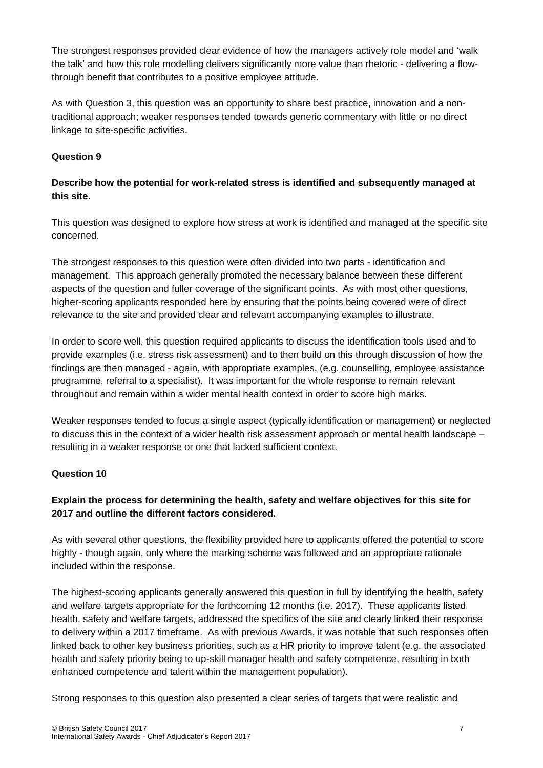The strongest responses provided clear evidence of how the managers actively role model and 'walk the talk' and how this role modelling delivers significantly more value than rhetoric - delivering a flowthrough benefit that contributes to a positive employee attitude.

As with Question 3, this question was an opportunity to share best practice, innovation and a nontraditional approach; weaker responses tended towards generic commentary with little or no direct linkage to site-specific activities.

### **Question 9**

# **Describe how the potential for work-related stress is identified and subsequently managed at this site.**

This question was designed to explore how stress at work is identified and managed at the specific site concerned.

The strongest responses to this question were often divided into two parts - identification and management. This approach generally promoted the necessary balance between these different aspects of the question and fuller coverage of the significant points. As with most other questions, higher-scoring applicants responded here by ensuring that the points being covered were of direct relevance to the site and provided clear and relevant accompanying examples to illustrate.

In order to score well, this question required applicants to discuss the identification tools used and to provide examples (i.e. stress risk assessment) and to then build on this through discussion of how the findings are then managed - again, with appropriate examples, (e.g. counselling, employee assistance programme, referral to a specialist). It was important for the whole response to remain relevant throughout and remain within a wider mental health context in order to score high marks.

Weaker responses tended to focus a single aspect (typically identification or management) or neglected to discuss this in the context of a wider health risk assessment approach or mental health landscape – resulting in a weaker response or one that lacked sufficient context.

#### **Question 10**

# **Explain the process for determining the health, safety and welfare objectives for this site for 2017 and outline the different factors considered.**

As with several other questions, the flexibility provided here to applicants offered the potential to score highly - though again, only where the marking scheme was followed and an appropriate rationale included within the response.

The highest-scoring applicants generally answered this question in full by identifying the health, safety and welfare targets appropriate for the forthcoming 12 months (i.e. 2017). These applicants listed health, safety and welfare targets, addressed the specifics of the site and clearly linked their response to delivery within a 2017 timeframe. As with previous Awards, it was notable that such responses often linked back to other key business priorities, such as a HR priority to improve talent (e.g. the associated health and safety priority being to up-skill manager health and safety competence, resulting in both enhanced competence and talent within the management population).

Strong responses to this question also presented a clear series of targets that were realistic and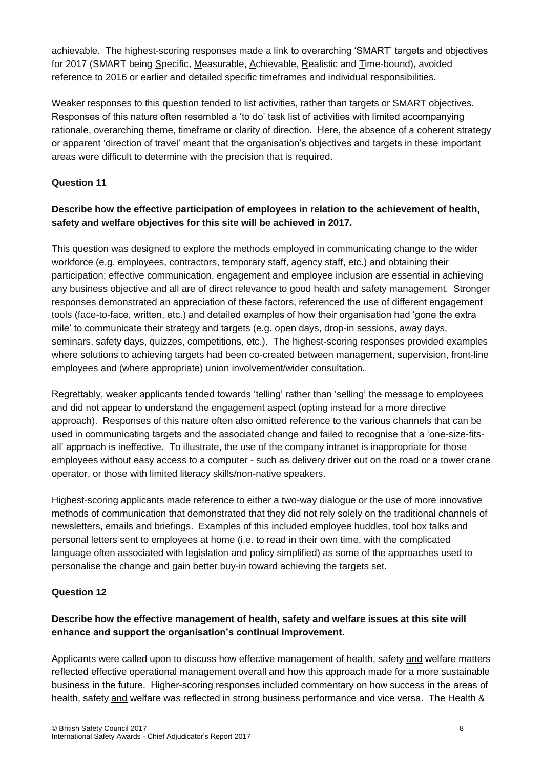achievable. The highest-scoring responses made a link to overarching 'SMART' targets and objectives for 2017 (SMART being Specific, Measurable, Achievable, Realistic and Time-bound), avoided reference to 2016 or earlier and detailed specific timeframes and individual responsibilities.

Weaker responses to this question tended to list activities, rather than targets or SMART objectives. Responses of this nature often resembled a 'to do' task list of activities with limited accompanying rationale, overarching theme, timeframe or clarity of direction. Here, the absence of a coherent strategy or apparent 'direction of travel' meant that the organisation's objectives and targets in these important areas were difficult to determine with the precision that is required.

# **Question 11**

# **Describe how the effective participation of employees in relation to the achievement of health, safety and welfare objectives for this site will be achieved in 2017.**

This question was designed to explore the methods employed in communicating change to the wider workforce (e.g. employees, contractors, temporary staff, agency staff, etc.) and obtaining their participation; effective communication, engagement and employee inclusion are essential in achieving any business objective and all are of direct relevance to good health and safety management. Stronger responses demonstrated an appreciation of these factors, referenced the use of different engagement tools (face-to-face, written, etc.) and detailed examples of how their organisation had 'gone the extra mile' to communicate their strategy and targets (e.g. open days, drop-in sessions, away days, seminars, safety days, quizzes, competitions, etc.). The highest-scoring responses provided examples where solutions to achieving targets had been co-created between management, supervision, front-line employees and (where appropriate) union involvement/wider consultation.

Regrettably, weaker applicants tended towards 'telling' rather than 'selling' the message to employees and did not appear to understand the engagement aspect (opting instead for a more directive approach). Responses of this nature often also omitted reference to the various channels that can be used in communicating targets and the associated change and failed to recognise that a 'one-size-fitsall' approach is ineffective. To illustrate, the use of the company intranet is inappropriate for those employees without easy access to a computer - such as delivery driver out on the road or a tower crane operator, or those with limited literacy skills/non-native speakers.

Highest-scoring applicants made reference to either a two-way dialogue or the use of more innovative methods of communication that demonstrated that they did not rely solely on the traditional channels of newsletters, emails and briefings. Examples of this included employee huddles, tool box talks and personal letters sent to employees at home (i.e. to read in their own time, with the complicated language often associated with legislation and policy simplified) as some of the approaches used to personalise the change and gain better buy-in toward achieving the targets set.

#### **Question 12**

# **Describe how the effective management of health, safety and welfare issues at this site will enhance and support the organisation's continual improvement.**

Applicants were called upon to discuss how effective management of health, safety and welfare matters reflected effective operational management overall and how this approach made for a more sustainable business in the future. Higher-scoring responses included commentary on how success in the areas of health, safety and welfare was reflected in strong business performance and vice versa. The Health &